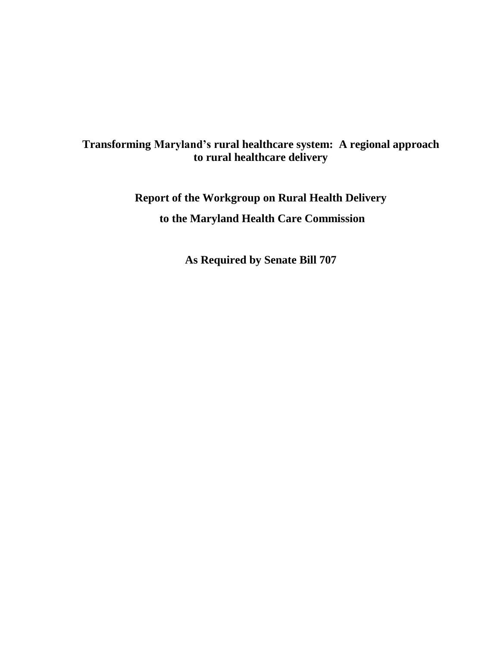# **Transforming Maryland's rural healthcare system: A regional approach to rural healthcare delivery**

**Report of the Workgroup on Rural Health Delivery to the Maryland Health Care Commission**

**As Required by Senate Bill 707**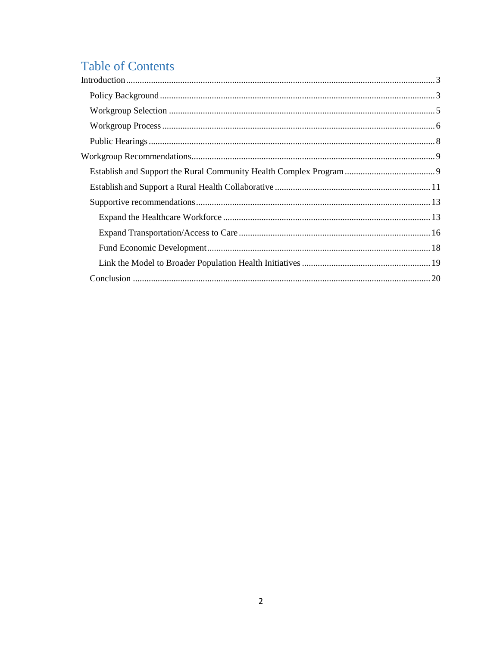# **Table of Contents**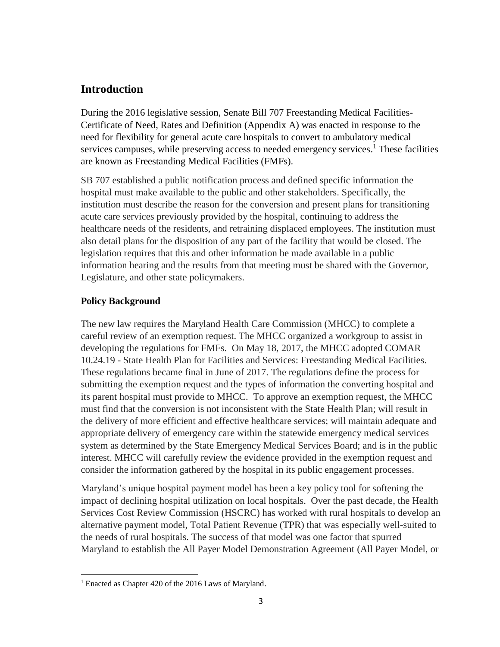# <span id="page-2-0"></span>**Introduction**

During the 2016 legislative session, Senate Bill 707 Freestanding Medical Facilities-Certificate of Need, Rates and Definition (Appendix A) was enacted in response to the need for flexibility for general acute care hospitals to convert to ambulatory medical services campuses, while preserving access to needed emergency services.<sup>1</sup> These facilities are known as Freestanding Medical Facilities (FMFs).

SB 707 established a public notification process and defined specific information the hospital must make available to the public and other stakeholders. Specifically, the institution must describe the reason for the conversion and present plans for transitioning acute care services previously provided by the hospital, continuing to address the healthcare needs of the residents, and retraining displaced employees. The institution must also detail plans for the disposition of any part of the facility that would be closed. The legislation requires that this and other information be made available in a public information hearing and the results from that meeting must be shared with the Governor, Legislature, and other state policymakers.

### <span id="page-2-1"></span>**Policy Background**

The new law requires the Maryland Health Care Commission (MHCC) to complete a careful review of an exemption request. The MHCC organized a workgroup to assist in developing the regulations for FMFs. On May 18, 2017, the MHCC adopted COMAR 10.24.19 - State Health Plan for Facilities and Services: Freestanding Medical Facilities. These regulations became final in June of 2017. The regulations define the process for submitting the exemption request and the types of information the converting hospital and its parent hospital must provide to MHCC. To approve an exemption request, the MHCC must find that the conversion is not inconsistent with the State Health Plan; will result in the delivery of more efficient and effective healthcare services; will maintain adequate and appropriate delivery of emergency care within the statewide emergency medical services system as determined by the State Emergency Medical Services Board; and is in the public interest. MHCC will carefully review the evidence provided in the exemption request and consider the information gathered by the hospital in its public engagement processes.

Maryland's unique hospital payment model has been a key policy tool for softening the impact of declining hospital utilization on local hospitals. Over the past decade, the Health Services Cost Review Commission (HSCRC) has worked with rural hospitals to develop an alternative payment model, Total Patient Revenue (TPR) that was especially well-suited to the needs of rural hospitals. The success of that model was one factor that spurred Maryland to establish the All Payer Model Demonstration Agreement (All Payer Model, or

 $\overline{\phantom{a}}$ <sup>1</sup> Enacted as Chapter 420 of the 2016 Laws of Maryland.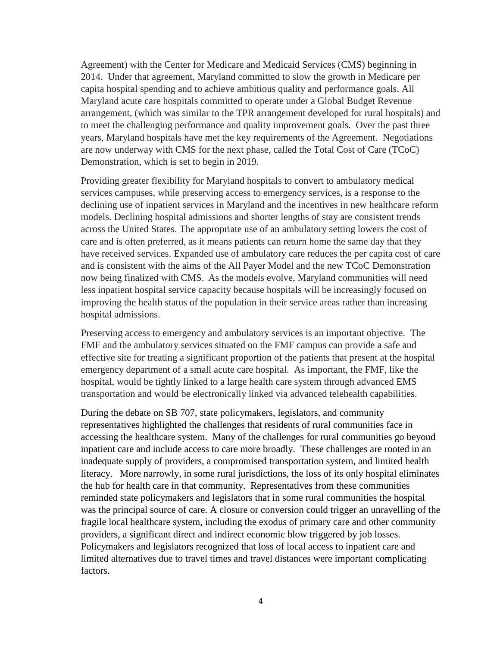Agreement) with the Center for Medicare and Medicaid Services (CMS) beginning in 2014. Under that agreement, Maryland committed to slow the growth in Medicare per capita hospital spending and to achieve ambitious quality and performance goals. All Maryland acute care hospitals committed to operate under a Global Budget Revenue arrangement, (which was similar to the TPR arrangement developed for rural hospitals) and to meet the challenging performance and quality improvement goals. Over the past three years, Maryland hospitals have met the key requirements of the Agreement. Negotiations are now underway with CMS for the next phase, called the Total Cost of Care (TCoC) Demonstration, which is set to begin in 2019.

Providing greater flexibility for Maryland hospitals to convert to ambulatory medical services campuses, while preserving access to emergency services, is a response to the declining use of inpatient services in Maryland and the incentives in new healthcare reform models. Declining hospital admissions and shorter lengths of stay are consistent trends across the United States. The appropriate use of an ambulatory setting lowers the cost of care and is often preferred, as it means patients can return home the same day that they have received services. Expanded use of ambulatory care reduces the per capita cost of care and is consistent with the aims of the All Payer Model and the new TCoC Demonstration now being finalized with CMS. As the models evolve, Maryland communities will need less inpatient hospital service capacity because hospitals will be increasingly focused on improving the health status of the population in their service areas rather than increasing hospital admissions.

Preserving access to emergency and ambulatory services is an important objective. The FMF and the ambulatory services situated on the FMF campus can provide a safe and effective site for treating a significant proportion of the patients that present at the hospital emergency department of a small acute care hospital. As important, the FMF, like the hospital, would be tightly linked to a large health care system through advanced EMS transportation and would be electronically linked via advanced telehealth capabilities.

During the debate on SB 707, state policymakers, legislators, and community representatives highlighted the challenges that residents of rural communities face in accessing the healthcare system. Many of the challenges for rural communities go beyond inpatient care and include access to care more broadly. These challenges are rooted in an inadequate supply of providers, a compromised transportation system, and limited health literacy. More narrowly, in some rural jurisdictions, the loss of its only hospital eliminates the hub for health care in that community. Representatives from these communities reminded state policymakers and legislators that in some rural communities the hospital was the principal source of care. A closure or conversion could trigger an unravelling of the fragile local healthcare system, including the exodus of primary care and other community providers, a significant direct and indirect economic blow triggered by job losses. Policymakers and legislators recognized that loss of local access to inpatient care and limited alternatives due to travel times and travel distances were important complicating factors.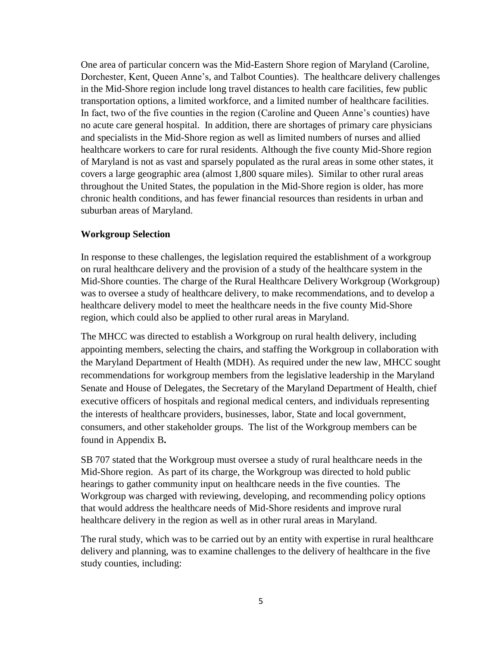One area of particular concern was the Mid-Eastern Shore region of Maryland (Caroline, Dorchester, Kent, Queen Anne's, and Talbot Counties). The healthcare delivery challenges in the Mid-Shore region include long travel distances to health care facilities, few public transportation options, a limited workforce, and a limited number of healthcare facilities. In fact, two of the five counties in the region (Caroline and Queen Anne's counties) have no acute care general hospital. In addition, there are shortages of primary care physicians and specialists in the Mid-Shore region as well as limited numbers of nurses and allied healthcare workers to care for rural residents. Although the five county Mid-Shore region of Maryland is not as vast and sparsely populated as the rural areas in some other states, it covers a large geographic area (almost 1,800 square miles). Similar to other rural areas throughout the United States, the population in the Mid-Shore region is older, has more chronic health conditions, and has fewer financial resources than residents in urban and suburban areas of Maryland.

#### <span id="page-4-0"></span>**Workgroup Selection**

In response to these challenges, the legislation required the establishment of a workgroup on rural healthcare delivery and the provision of a study of the healthcare system in the Mid-Shore counties. The charge of the Rural Healthcare Delivery Workgroup (Workgroup) was to oversee a study of healthcare delivery, to make recommendations, and to develop a healthcare delivery model to meet the healthcare needs in the five county Mid-Shore region, which could also be applied to other rural areas in Maryland.

The MHCC was directed to establish a Workgroup on rural health delivery, including appointing members, selecting the chairs, and staffing the Workgroup in collaboration with the Maryland Department of Health (MDH). As required under the new law, MHCC sought recommendations for workgroup members from the legislative leadership in the Maryland Senate and House of Delegates, the Secretary of the Maryland Department of Health, chief executive officers of hospitals and regional medical centers, and individuals representing the interests of healthcare providers, businesses, labor, State and local government, consumers, and other stakeholder groups. The list of the Workgroup members can be found in Appendix B**.** 

SB 707 stated that the Workgroup must oversee a study of rural healthcare needs in the Mid-Shore region. As part of its charge, the Workgroup was directed to hold public hearings to gather community input on healthcare needs in the five counties. The Workgroup was charged with reviewing, developing, and recommending policy options that would address the healthcare needs of Mid-Shore residents and improve rural healthcare delivery in the region as well as in other rural areas in Maryland.

The rural study, which was to be carried out by an entity with expertise in rural healthcare delivery and planning, was to examine challenges to the delivery of healthcare in the five study counties, including: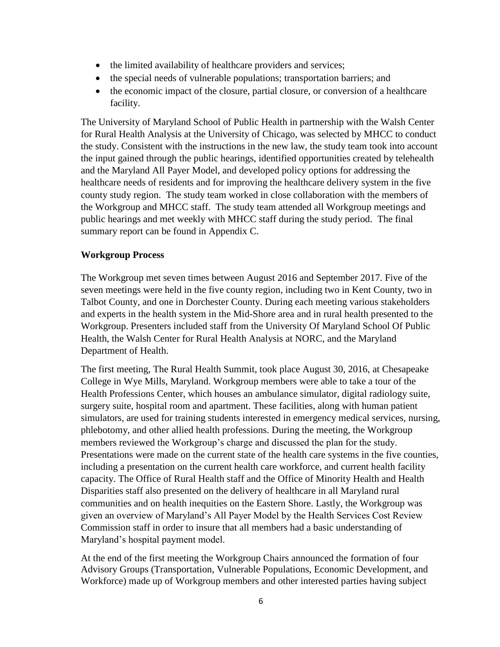- the limited availability of healthcare providers and services;
- the special needs of vulnerable populations; transportation barriers; and
- the economic impact of the closure, partial closure, or conversion of a healthcare facility.

The University of Maryland School of Public Health in partnership with the Walsh Center for Rural Health Analysis at the University of Chicago, was selected by MHCC to conduct the study. Consistent with the instructions in the new law, the study team took into account the input gained through the public hearings, identified opportunities created by telehealth and the Maryland All Payer Model, and developed policy options for addressing the healthcare needs of residents and for improving the healthcare delivery system in the five county study region. The study team worked in close collaboration with the members of the Workgroup and MHCC staff. The study team attended all Workgroup meetings and public hearings and met weekly with MHCC staff during the study period. The final summary report can be found in Appendix C.

#### <span id="page-5-0"></span>**Workgroup Process**

The Workgroup met seven times between August 2016 and September 2017. Five of the seven meetings were held in the five county region, including two in Kent County, two in Talbot County, and one in Dorchester County. During each meeting various stakeholders and experts in the health system in the Mid-Shore area and in rural health presented to the Workgroup. Presenters included staff from the University Of Maryland School Of Public Health, the Walsh Center for Rural Health Analysis at NORC, and the Maryland Department of Health.

The first meeting, The Rural Health Summit, took place August 30, 2016, at Chesapeake College in Wye Mills, Maryland. Workgroup members were able to take a tour of the Health Professions Center, which houses an ambulance simulator, digital radiology suite, surgery suite, hospital room and apartment. These facilities, along with human patient simulators, are used for training students interested in emergency medical services, nursing, phlebotomy, and other allied health professions. During the meeting, the Workgroup members reviewed the Workgroup's charge and discussed the plan for the study. Presentations were made on the current state of the health care systems in the five counties, including a presentation on the current health care workforce, and current health facility capacity. The Office of Rural Health staff and the Office of Minority Health and Health Disparities staff also presented on the delivery of healthcare in all Maryland rural communities and on health inequities on the Eastern Shore. Lastly, the Workgroup was given an overview of Maryland's All Payer Model by the Health Services Cost Review Commission staff in order to insure that all members had a basic understanding of Maryland's hospital payment model.

At the end of the first meeting the Workgroup Chairs announced the formation of four Advisory Groups (Transportation, Vulnerable Populations, Economic Development, and Workforce) made up of Workgroup members and other interested parties having subject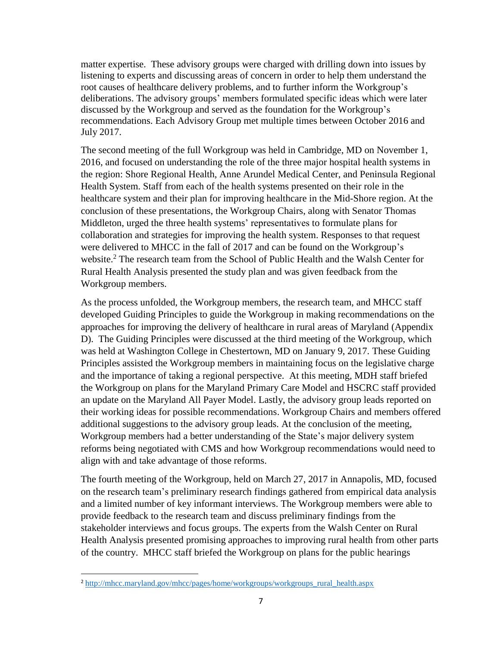matter expertise. These advisory groups were charged with drilling down into issues by listening to experts and discussing areas of concern in order to help them understand the root causes of healthcare delivery problems, and to further inform the Workgroup's deliberations. The advisory groups' members formulated specific ideas which were later discussed by the Workgroup and served as the foundation for the Workgroup's recommendations. Each Advisory Group met multiple times between October 2016 and July 2017.

The second meeting of the full Workgroup was held in Cambridge, MD on November 1, 2016, and focused on understanding the role of the three major hospital health systems in the region: Shore Regional Health, Anne Arundel Medical Center, and Peninsula Regional Health System. Staff from each of the health systems presented on their role in the healthcare system and their plan for improving healthcare in the Mid-Shore region. At the conclusion of these presentations, the Workgroup Chairs, along with Senator Thomas Middleton, urged the three health systems' representatives to formulate plans for collaboration and strategies for improving the health system. Responses to that request were delivered to MHCC in the fall of 2017 and can be found on the Workgroup's website. <sup>2</sup> The research team from the School of Public Health and the Walsh Center for Rural Health Analysis presented the study plan and was given feedback from the Workgroup members.

As the process unfolded, the Workgroup members, the research team, and MHCC staff developed Guiding Principles to guide the Workgroup in making recommendations on the approaches for improving the delivery of healthcare in rural areas of Maryland (Appendix D). The Guiding Principles were discussed at the third meeting of the Workgroup, which was held at Washington College in Chestertown, MD on January 9, 2017. These Guiding Principles assisted the Workgroup members in maintaining focus on the legislative charge and the importance of taking a regional perspective. At this meeting, MDH staff briefed the Workgroup on plans for the Maryland Primary Care Model and HSCRC staff provided an update on the Maryland All Payer Model. Lastly, the advisory group leads reported on their working ideas for possible recommendations. Workgroup Chairs and members offered additional suggestions to the advisory group leads. At the conclusion of the meeting, Workgroup members had a better understanding of the State's major delivery system reforms being negotiated with CMS and how Workgroup recommendations would need to align with and take advantage of those reforms.

The fourth meeting of the Workgroup, held on March 27, 2017 in Annapolis, MD, focused on the research team's preliminary research findings gathered from empirical data analysis and a limited number of key informant interviews. The Workgroup members were able to provide feedback to the research team and discuss preliminary findings from the stakeholder interviews and focus groups. The experts from the Walsh Center on Rural Health Analysis presented promising approaches to improving rural health from other parts of the country. MHCC staff briefed the Workgroup on plans for the public hearings

 $\overline{\phantom{a}}$ 

<sup>&</sup>lt;sup>2</sup> [http://mhcc.maryland.gov/mhcc/pages/home/workgroups/workgroups\\_rural\\_health.aspx](http://mhcc.maryland.gov/mhcc/pages/home/workgroups/workgroups_rural_health.aspx)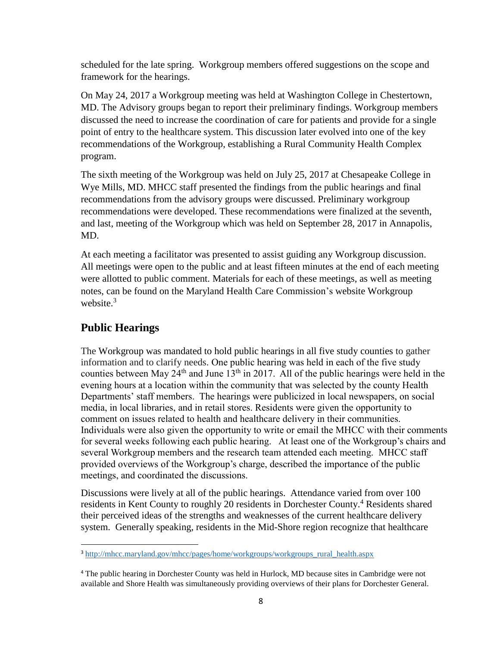scheduled for the late spring. Workgroup members offered suggestions on the scope and framework for the hearings.

On May 24, 2017 a Workgroup meeting was held at Washington College in Chestertown, MD. The Advisory groups began to report their preliminary findings. Workgroup members discussed the need to increase the coordination of care for patients and provide for a single point of entry to the healthcare system. This discussion later evolved into one of the key recommendations of the Workgroup, establishing a Rural Community Health Complex program.

The sixth meeting of the Workgroup was held on July 25, 2017 at Chesapeake College in Wye Mills, MD. MHCC staff presented the findings from the public hearings and final recommendations from the advisory groups were discussed. Preliminary workgroup recommendations were developed. These recommendations were finalized at the seventh, and last, meeting of the Workgroup which was held on September 28, 2017 in Annapolis, MD.

At each meeting a facilitator was presented to assist guiding any Workgroup discussion. All meetings were open to the public and at least fifteen minutes at the end of each meeting were allotted to public comment. Materials for each of these meetings, as well as meeting notes, can be found on the Maryland Health Care Commission's website Workgroup website. 3

# <span id="page-7-0"></span>**Public Hearings**

 $\overline{\phantom{a}}$ 

The Workgroup was mandated to hold public hearings in all five study counties to gather information and to clarify needs. One public hearing was held in each of the five study counties between May  $24<sup>th</sup>$  and June  $13<sup>th</sup>$  in 2017. All of the public hearings were held in the evening hours at a location within the community that was selected by the county Health Departments' staff members. The hearings were publicized in local newspapers, on social media, in local libraries, and in retail stores. Residents were given the opportunity to comment on issues related to health and healthcare delivery in their communities. Individuals were also given the opportunity to write or email the MHCC with their comments for several weeks following each public hearing. At least one of the Workgroup's chairs and several Workgroup members and the research team attended each meeting. MHCC staff provided overviews of the Workgroup's charge, described the importance of the public meetings, and coordinated the discussions.

Discussions were lively at all of the public hearings. Attendance varied from over 100 residents in Kent County to roughly 20 residents in Dorchester County.<sup>4</sup> Residents shared their perceived ideas of the strengths and weaknesses of the current healthcare delivery system. Generally speaking, residents in the Mid-Shore region recognize that healthcare

<sup>3</sup> [http://mhcc.maryland.gov/mhcc/pages/home/workgroups/workgroups\\_rural\\_health.aspx](http://mhcc.maryland.gov/mhcc/pages/home/workgroups/workgroups_rural_health.aspx)

<sup>4</sup> The public hearing in Dorchester County was held in Hurlock, MD because sites in Cambridge were not available and Shore Health was simultaneously providing overviews of their plans for Dorchester General.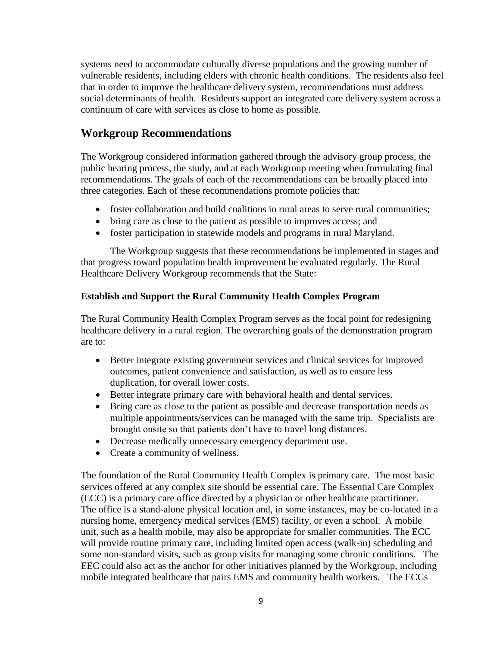systems need to accommodate culturally diverse populations and the growing number of vulnerable residents, including elders with chronic health conditions. The residents also feel that in order to improve the healthcare delivery system, recommendations must address social determinants of health. Residents support an integrated care delivery system across a continuum of care with services as close to home as possible.

# <span id="page-8-0"></span>**Workgroup Recommendations**

The Workgroup considered information gathered through the advisory group process, the public hearing process, the study, and at each Workgroup meeting when formulating final recommendations. The goals of each of the recommendations can be broadly placed into three categories. Each of these recommendations promote policies that:

- foster collaboration and build coalitions in rural areas to serve rural communities;
- bring care as close to the patient as possible to improves access; and
- foster participation in statewide models and programs in rural Maryland.

The Workgroup suggests that these recommendations be implemented in stages and that progress toward population health improvement be evaluated regularly. The Rural Healthcare Delivery Workgroup recommends that the State:

#### <span id="page-8-1"></span>**Establish and Support the Rural Community Health Complex Program**

The Rural Community Health Complex Program serves as the focal point for redesigning healthcare delivery in a rural region. The overarching goals of the demonstration program are to:

- Better integrate existing government services and clinical services for improved outcomes, patient convenience and satisfaction, as well as to ensure less duplication, for overall lower costs.
- Better integrate primary care with behavioral health and dental services.
- Bring care as close to the patient as possible and decrease transportation needs as multiple appointments/services can be managed with the same trip. Specialists are brought onsite so that patients don't have to travel long distances.
- Decrease medically unnecessary emergency department use.
- Create a community of wellness.

The foundation of the Rural Community Health Complex is primary care. The most basic services offered at any complex site should be essential care. The Essential Care Complex (ECC) is a primary care office directed by a physician or other healthcare practitioner. The office is a stand-alone physical location and, in some instances, may be co-located in a nursing home, emergency medical services (EMS) facility, or even a school. A mobile unit, such as a health mobile, may also be appropriate for smaller communities. The ECC will provide routine primary care, including limited open access (walk-in) scheduling and some non-standard visits, such as group visits for managing some chronic conditions. The EEC could also act as the anchor for other initiatives planned by the Workgroup, including mobile integrated healthcare that pairs EMS and community health workers. The ECCs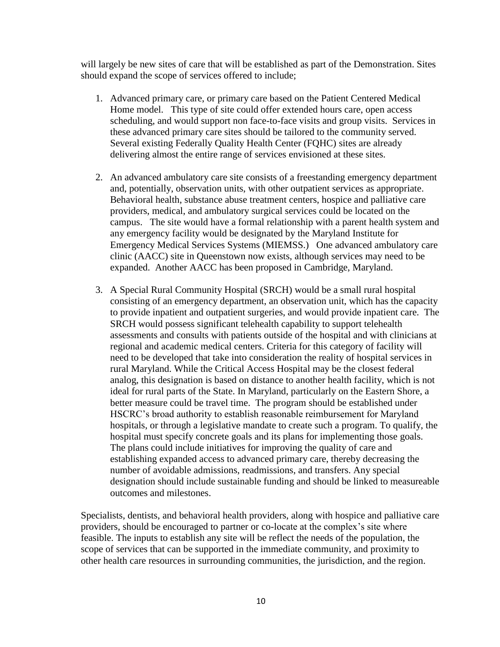will largely be new sites of care that will be established as part of the Demonstration. Sites should expand the scope of services offered to include;

- 1. Advanced primary care, or primary care based on the Patient Centered Medical Home model. This type of site could offer extended hours care, open access scheduling, and would support non face-to-face visits and group visits. Services in these advanced primary care sites should be tailored to the community served. Several existing Federally Quality Health Center (FQHC) sites are already delivering almost the entire range of services envisioned at these sites.
- 2. An advanced ambulatory care site consists of a freestanding emergency department and, potentially, observation units, with other outpatient services as appropriate. Behavioral health, substance abuse treatment centers, hospice and palliative care providers, medical, and ambulatory surgical services could be located on the campus. The site would have a formal relationship with a parent health system and any emergency facility would be designated by the Maryland Institute for Emergency Medical Services Systems (MIEMSS.) One advanced ambulatory care clinic (AACC) site in Queenstown now exists, although services may need to be expanded. Another AACC has been proposed in Cambridge, Maryland.
- 3. A Special Rural Community Hospital (SRCH) would be a small rural hospital consisting of an emergency department, an observation unit, which has the capacity to provide inpatient and outpatient surgeries, and would provide inpatient care. The SRCH would possess significant telehealth capability to support telehealth assessments and consults with patients outside of the hospital and with clinicians at regional and academic medical centers. Criteria for this category of facility will need to be developed that take into consideration the reality of hospital services in rural Maryland. While the Critical Access Hospital may be the closest federal analog, this designation is based on distance to another health facility, which is not ideal for rural parts of the State. In Maryland, particularly on the Eastern Shore, a better measure could be travel time. The program should be established under HSCRC's broad authority to establish reasonable reimbursement for Maryland hospitals, or through a legislative mandate to create such a program. To qualify, the hospital must specify concrete goals and its plans for implementing those goals. The plans could include initiatives for improving the quality of care and establishing expanded access to advanced primary care, thereby decreasing the number of avoidable admissions, readmissions, and transfers. Any special designation should include sustainable funding and should be linked to measureable outcomes and milestones.

Specialists, dentists, and behavioral health providers, along with hospice and palliative care providers, should be encouraged to partner or co-locate at the complex's site where feasible. The inputs to establish any site will be reflect the needs of the population, the scope of services that can be supported in the immediate community, and proximity to other health care resources in surrounding communities, the jurisdiction, and the region.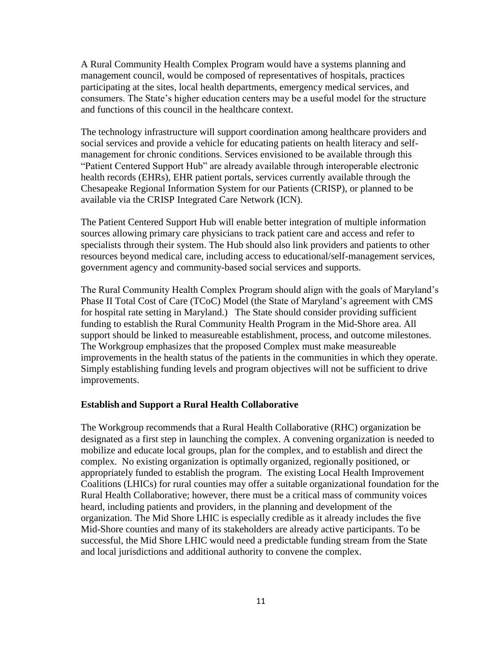A Rural Community Health Complex Program would have a systems planning and management council, would be composed of representatives of hospitals, practices participating at the sites, local health departments, emergency medical services, and consumers. The State's higher education centers may be a useful model for the structure and functions of this council in the healthcare context.

The technology infrastructure will support coordination among healthcare providers and social services and provide a vehicle for educating patients on health literacy and selfmanagement for chronic conditions. Services envisioned to be available through this "Patient Centered Support Hub" are already available through interoperable electronic health records (EHRs), EHR patient portals, services currently available through the Chesapeake Regional Information System for our Patients (CRISP), or planned to be available via the CRISP Integrated Care Network (ICN).

The Patient Centered Support Hub will enable better integration of multiple information sources allowing primary care physicians to track patient care and access and refer to specialists through their system. The Hub should also link providers and patients to other resources beyond medical care, including access to educational/self-management services, government agency and community-based social services and supports.

The Rural Community Health Complex Program should align with the goals of Maryland's Phase II Total Cost of Care (TCoC) Model (the State of Maryland's agreement with CMS for hospital rate setting in Maryland.) The State should consider providing sufficient funding to establish the Rural Community Health Program in the Mid-Shore area. All support should be linked to measureable establishment, process, and outcome milestones. The Workgroup emphasizes that the proposed Complex must make measureable improvements in the health status of the patients in the communities in which they operate. Simply establishing funding levels and program objectives will not be sufficient to drive improvements.

#### <span id="page-10-0"></span>**Establish and Support a Rural Health Collaborative**

The Workgroup recommends that a Rural Health Collaborative (RHC) organization be designated as a first step in launching the complex. A convening organization is needed to mobilize and educate local groups, plan for the complex, and to establish and direct the complex. No existing organization is optimally organized, regionally positioned, or appropriately funded to establish the program. The existing Local Health Improvement Coalitions (LHICs) for rural counties may offer a suitable organizational foundation for the Rural Health Collaborative; however, there must be a critical mass of community voices heard, including patients and providers, in the planning and development of the organization. The Mid Shore LHIC is especially credible as it already includes the five Mid-Shore counties and many of its stakeholders are already active participants. To be successful, the Mid Shore LHIC would need a predictable funding stream from the State and local jurisdictions and additional authority to convene the complex.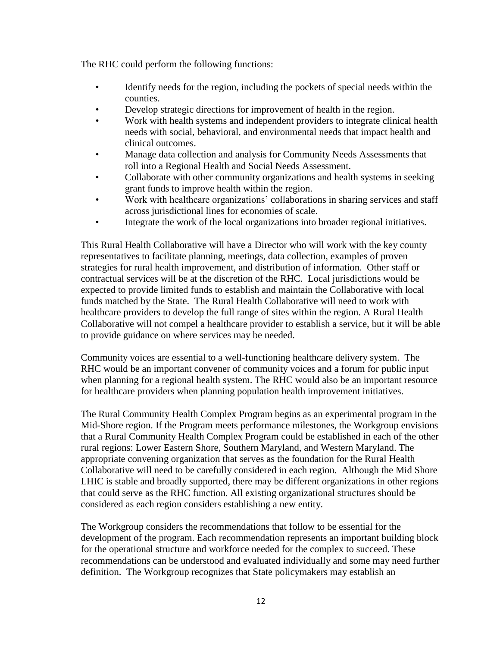The RHC could perform the following functions:

- Identify needs for the region, including the pockets of special needs within the counties.
- Develop strategic directions for improvement of health in the region.
- Work with health systems and independent providers to integrate clinical health needs with social, behavioral, and environmental needs that impact health and clinical outcomes.
- Manage data collection and analysis for Community Needs Assessments that roll into a Regional Health and Social Needs Assessment.
- Collaborate with other community organizations and health systems in seeking grant funds to improve health within the region.
- Work with healthcare organizations' collaborations in sharing services and staff across jurisdictional lines for economies of scale.
- Integrate the work of the local organizations into broader regional initiatives.

This Rural Health Collaborative will have a Director who will work with the key county representatives to facilitate planning, meetings, data collection, examples of proven strategies for rural health improvement, and distribution of information. Other staff or contractual services will be at the discretion of the RHC. Local jurisdictions would be expected to provide limited funds to establish and maintain the Collaborative with local funds matched by the State. The Rural Health Collaborative will need to work with healthcare providers to develop the full range of sites within the region. A Rural Health Collaborative will not compel a healthcare provider to establish a service, but it will be able to provide guidance on where services may be needed.

Community voices are essential to a well-functioning healthcare delivery system. The RHC would be an important convener of community voices and a forum for public input when planning for a regional health system. The RHC would also be an important resource for healthcare providers when planning population health improvement initiatives.

The Rural Community Health Complex Program begins as an experimental program in the Mid-Shore region. If the Program meets performance milestones, the Workgroup envisions that a Rural Community Health Complex Program could be established in each of the other rural regions: Lower Eastern Shore, Southern Maryland, and Western Maryland. The appropriate convening organization that serves as the foundation for the Rural Health Collaborative will need to be carefully considered in each region. Although the Mid Shore LHIC is stable and broadly supported, there may be different organizations in other regions that could serve as the RHC function. All existing organizational structures should be considered as each region considers establishing a new entity.

The Workgroup considers the recommendations that follow to be essential for the development of the program. Each recommendation represents an important building block for the operational structure and workforce needed for the complex to succeed. These recommendations can be understood and evaluated individually and some may need further definition. The Workgroup recognizes that State policymakers may establish an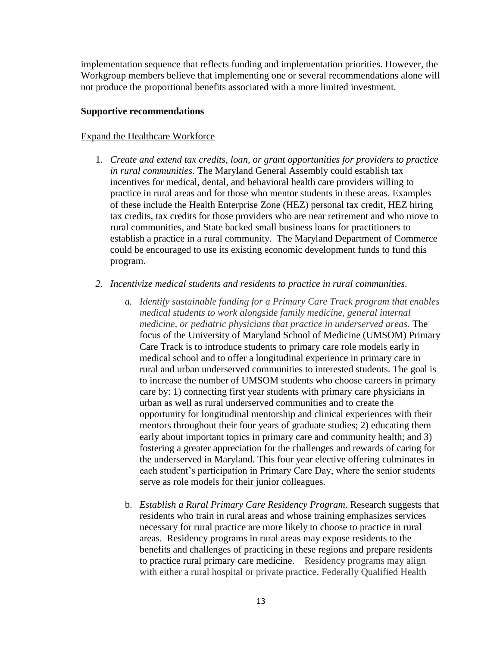implementation sequence that reflects funding and implementation priorities. However, the Workgroup members believe that implementing one or several recommendations alone will not produce the proportional benefits associated with a more limited investment.

#### <span id="page-12-0"></span>**Supportive recommendations**

#### <span id="page-12-1"></span>Expand the Healthcare Workforce

- 1. *Create and extend tax credits, loan, or grant opportunities for providers to practice in rural communities.* The Maryland General Assembly could establish tax incentives for medical, dental, and behavioral health care providers willing to practice in rural areas and for those who mentor students in these areas. Examples of these include the Health Enterprise Zone (HEZ) personal tax credit, HEZ hiring tax credits, tax credits for those providers who are near retirement and who move to rural communities, and State backed small business loans for practitioners to establish a practice in a rural community. The Maryland Department of Commerce could be encouraged to use its existing economic development funds to fund this program.
- *2. Incentivize medical students and residents to practice in rural communities.*
	- *a. Identify sustainable funding for a Primary Care Track program that enables medical students to work alongside family medicine, general internal medicine, or pediatric physicians that practice in underserved areas.* The focus of the University of Maryland School of Medicine (UMSOM) Primary Care Track is to introduce students to primary care role models early in medical school and to offer a longitudinal experience in primary care in rural and urban underserved communities to interested students. The goal is to increase the number of UMSOM students who choose careers in primary care by: 1) connecting first year students with primary care physicians in urban as well as rural underserved communities and to create the opportunity for longitudinal mentorship and clinical experiences with their mentors throughout their four years of graduate studies; 2) educating them early about important topics in primary care and community health; and 3) fostering a greater appreciation for the challenges and rewards of caring for the underserved in Maryland. This four year elective offering culminates in each student's participation in Primary Care Day, where the senior students serve as role models for their junior colleagues.
	- b. *Establish a Rural Primary Care Residency Program.* Research suggests that residents who train in rural areas and whose training emphasizes services necessary for rural practice are more likely to choose to practice in rural areas. Residency programs in rural areas may expose residents to the benefits and challenges of practicing in these regions and prepare residents to practice rural primary care medicine. Residency programs may align with either a rural hospital or private practice. Federally Qualified Health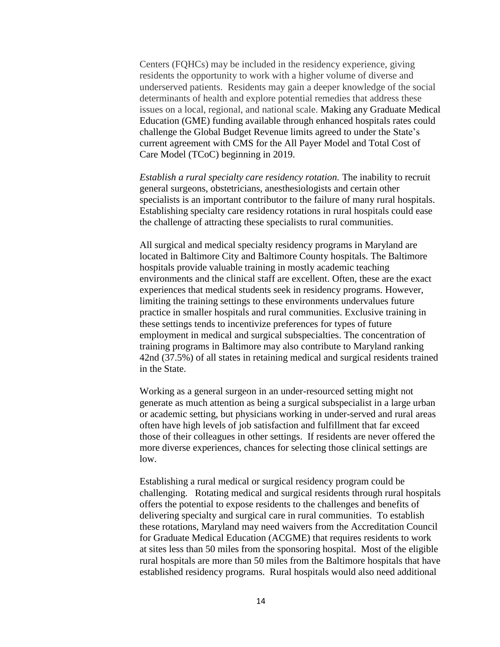Centers (FQHCs) may be included in the residency experience, giving residents the opportunity to work with a higher volume of diverse and underserved patients. Residents may gain a deeper knowledge of the social determinants of health and explore potential remedies that address these issues on a local, regional, and national scale. Making any Graduate Medical Education (GME) funding available through enhanced hospitals rates could challenge the Global Budget Revenue limits agreed to under the State's current agreement with CMS for the All Payer Model and Total Cost of Care Model (TCoC) beginning in 2019.

*Establish a rural specialty care residency rotation.* The inability to recruit general surgeons, obstetricians, anesthesiologists and certain other specialists is an important contributor to the failure of many rural hospitals. Establishing specialty care residency rotations in rural hospitals could ease the challenge of attracting these specialists to rural communities.

All surgical and medical specialty residency programs in Maryland are located in Baltimore City and Baltimore County hospitals. The Baltimore hospitals provide valuable training in mostly academic teaching environments and the clinical staff are excellent. Often, these are the exact experiences that medical students seek in residency programs. However, limiting the training settings to these environments undervalues future practice in smaller hospitals and rural communities. Exclusive training in these settings tends to incentivize preferences for types of future employment in medical and surgical subspecialties. The concentration of training programs in Baltimore may also contribute to Maryland ranking 42nd (37.5%) of all states in retaining medical and surgical residents trained in the State.

Working as a general surgeon in an under-resourced setting might not generate as much attention as being a surgical subspecialist in a large urban or academic setting, but physicians working in under-served and rural areas often have high levels of job satisfaction and fulfillment that far exceed those of their colleagues in other settings. If residents are never offered the more diverse experiences, chances for selecting those clinical settings are low.

Establishing a rural medical or surgical residency program could be challenging. Rotating medical and surgical residents through rural hospitals offers the potential to expose residents to the challenges and benefits of delivering specialty and surgical care in rural communities. To establish these rotations, Maryland may need waivers from the Accreditation Council for Graduate Medical Education (ACGME) that requires residents to work at sites less than 50 miles from the sponsoring hospital. Most of the eligible rural hospitals are more than 50 miles from the Baltimore hospitals that have established residency programs. Rural hospitals would also need additional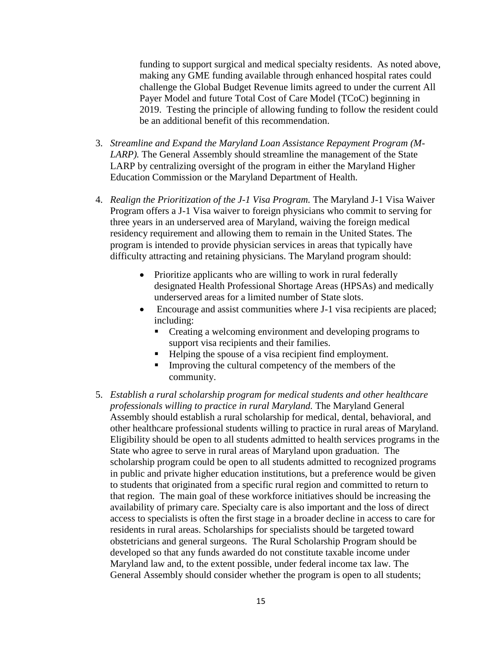funding to support surgical and medical specialty residents. As noted above, making any GME funding available through enhanced hospital rates could challenge the Global Budget Revenue limits agreed to under the current All Payer Model and future Total Cost of Care Model (TCoC) beginning in 2019. Testing the principle of allowing funding to follow the resident could be an additional benefit of this recommendation.

- 3. *Streamline and Expand the Maryland Loan Assistance Repayment Program (M-LARP*). The General Assembly should streamline the management of the State LARP by centralizing oversight of the program in either the Maryland Higher Education Commission or the Maryland Department of Health.
- 4. *Realign the Prioritization of the J-1 Visa Program.* The Maryland J-1 Visa Waiver Program offers a J-1 Visa waiver to foreign physicians who commit to serving for three years in an underserved area of Maryland, waiving the foreign medical residency requirement and allowing them to remain in the United States. The program is intended to provide physician services in areas that typically have difficulty attracting and retaining physicians. The Maryland program should:
	- Prioritize applicants who are willing to work in rural federally designated Health Professional Shortage Areas (HPSAs) and medically underserved areas for a limited number of State slots.
	- Encourage and assist communities where J-1 visa recipients are placed; including:
		- Creating a welcoming environment and developing programs to support visa recipients and their families.
		- Helping the spouse of a visa recipient find employment.
		- Improving the cultural competency of the members of the community.
- 5. *Establish a rural scholarship program for medical students and other healthcare professionals willing to practice in rural Maryland.* The Maryland General Assembly should establish a rural scholarship for medical, dental, behavioral, and other healthcare professional students willing to practice in rural areas of Maryland. Eligibility should be open to all students admitted to health services programs in the State who agree to serve in rural areas of Maryland upon graduation. The scholarship program could be open to all students admitted to recognized programs in public and private higher education institutions, but a preference would be given to students that originated from a specific rural region and committed to return to that region. The main goal of these workforce initiatives should be increasing the availability of primary care. Specialty care is also important and the loss of direct access to specialists is often the first stage in a broader decline in access to care for residents in rural areas. Scholarships for specialists should be targeted toward obstetricians and general surgeons. The Rural Scholarship Program should be developed so that any funds awarded do not constitute taxable income under Maryland law and, to the extent possible, under federal income tax law. The General Assembly should consider whether the program is open to all students;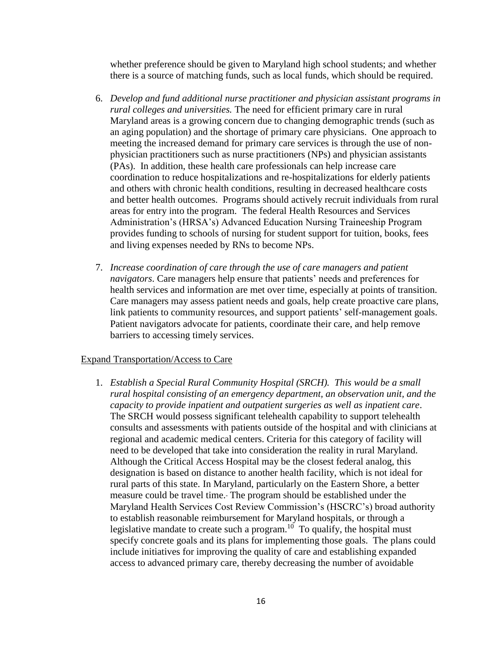whether preference should be given to Maryland high school students; and whether there is a source of matching funds, such as local funds, which should be required.

- 6. *Develop and fund additional nurse practitioner and physician assistant programs in rural colleges and universities.* The need for efficient primary care in rural Maryland areas is a growing concern due to changing demographic trends (such as an aging population) and the shortage of primary care physicians. One approach to meeting the increased demand for primary care services is through the use of nonphysician practitioners such as nurse practitioners (NPs) and physician assistants (PAs). In addition, these health care professionals can help increase care coordination to reduce hospitalizations and re-hospitalizations for elderly patients and others with chronic health conditions, resulting in decreased healthcare costs and better health outcomes. Programs should actively recruit individuals from rural areas for entry into the program. The federal Health Resources and Services Administration's (HRSA's) Advanced Education Nursing Traineeship Program provides funding to schools of nursing for student support for tuition, books, fees and living expenses needed by RNs to become NPs.
- 7. *Increase coordination of care through the use of care managers and patient navigators*. Care managers help ensure that patients' needs and preferences for health services and information are met over time, especially at points of transition. Care managers may assess patient needs and goals, help create proactive care plans, link patients to community resources, and support patients' self-management goals. Patient navigators advocate for patients, coordinate their care, and help remove barriers to accessing timely services.

#### <span id="page-15-0"></span>Expand Transportation/Access to Care

1. *Establish a Special Rural Community Hospital (SRCH). This would be a small rural hospital consisting of an emergency department, an observation unit, and the capacity to provide inpatient and outpatient surgeries as well as inpatient care*. The SRCH would possess significant telehealth capability to support telehealth consults and assessments with patients outside of the hospital and with clinicians at regional and academic medical centers. Criteria for this category of facility will need to be developed that take into consideration the reality in rural Maryland. Although the Critical Access Hospital may be the closest federal analog, this designation is based on distance to another health facility, which is not ideal for rural parts of this state. In Maryland, particularly on the Eastern Shore, a better measure could be travel time. The program should be established under the Maryland Health Services Cost Review Commission's (HSCRC's) broad authority to establish reasonable reimbursement for Maryland hospitals, or through a legislative mandate to create such a program.<sup>10</sup> To qualify, the hospital must specify concrete goals and its plans for implementing those goals. The plans could include initiatives for improving the quality of care and establishing expanded access to advanced primary care, thereby decreasing the number of avoidable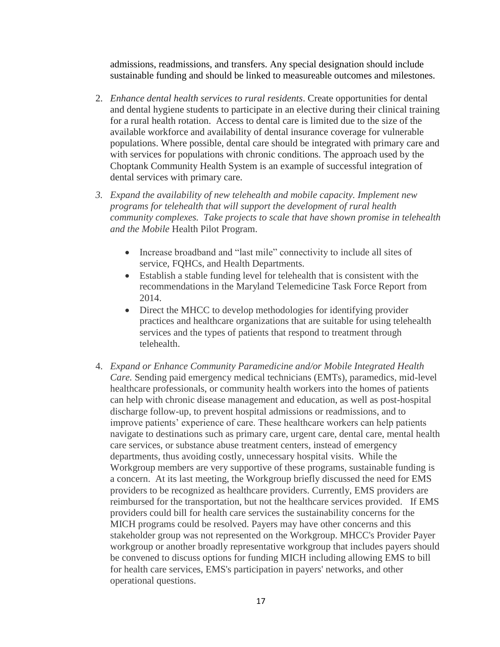admissions, readmissions, and transfers. Any special designation should include sustainable funding and should be linked to measureable outcomes and milestones.

- 2. *Enhance dental health services to rural residents*. Create opportunities for dental and dental hygiene students to participate in an elective during their clinical training for a rural health rotation. Access to dental care is limited due to the size of the available workforce and availability of dental insurance coverage for vulnerable populations. Where possible, dental care should be integrated with primary care and with services for populations with chronic conditions. The approach used by the Choptank Community Health System is an example of successful integration of dental services with primary care.
- *3. Expand the availability of new telehealth and mobile capacity. Implement new programs for telehealth that will support the development of rural health community complexes. Take projects to scale that have shown promise in telehealth and the Mobile* Health Pilot Program.
	- Increase broadband and "last mile" connectivity to include all sites of service, FQHCs, and Health Departments.
	- Establish a stable funding level for telehealth that is consistent with the recommendations in the Maryland Telemedicine Task Force Report from 2014.
	- Direct the MHCC to develop methodologies for identifying provider practices and healthcare organizations that are suitable for using telehealth services and the types of patients that respond to treatment through telehealth.
- 4. *Expand or Enhance Community Paramedicine and/or Mobile Integrated Health Care.* Sending paid emergency medical technicians (EMTs), paramedics, mid-level healthcare professionals, or community health workers into the homes of patients can help with chronic disease management and education, as well as post-hospital discharge follow-up, to prevent hospital admissions or readmissions, and to improve patients' experience of care. These healthcare workers can help patients navigate to destinations such as primary care, urgent care, dental care, mental health care services, or substance abuse treatment centers, instead of emergency departments, thus avoiding costly, unnecessary hospital visits. While the Workgroup members are very supportive of these programs, sustainable funding is a concern. At its last meeting, the Workgroup briefly discussed the need for EMS providers to be recognized as healthcare providers. Currently, EMS providers are reimbursed for the transportation, but not the healthcare services provided. If EMS providers could bill for health care services the sustainability concerns for the MICH programs could be resolved. Payers may have other concerns and this stakeholder group was not represented on the Workgroup. MHCC's Provider Payer workgroup or another broadly representative workgroup that includes payers should be convened to discuss options for funding MICH including allowing EMS to bill for health care services, EMS's participation in payers' networks, and other operational questions.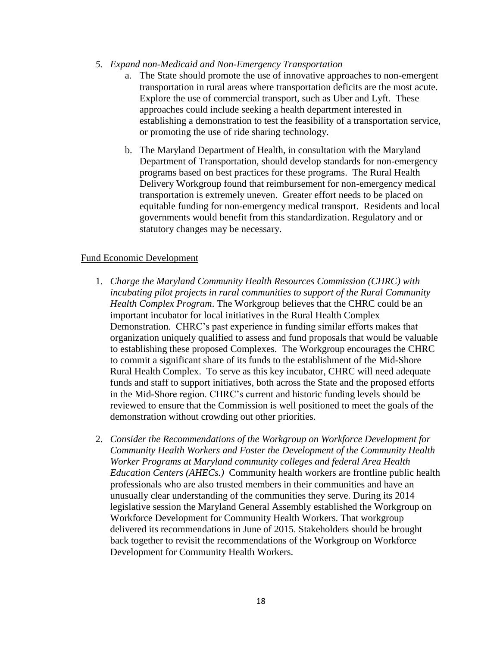- *5. Expand non-Medicaid and Non-Emergency Transportation* 
	- a. The State should promote the use of innovative approaches to non-emergent transportation in rural areas where transportation deficits are the most acute. Explore the use of commercial transport, such as Uber and Lyft. These approaches could include seeking a health department interested in establishing a demonstration to test the feasibility of a transportation service, or promoting the use of ride sharing technology.
	- b. The Maryland Department of Health, in consultation with the Maryland Department of Transportation, should develop standards for non-emergency programs based on best practices for these programs. The Rural Health Delivery Workgroup found that reimbursement for non-emergency medical transportation is extremely uneven. Greater effort needs to be placed on equitable funding for non-emergency medical transport. Residents and local governments would benefit from this standardization. Regulatory and or statutory changes may be necessary.

#### <span id="page-17-0"></span>Fund Economic Development

- 1. *Charge the Maryland Community Health Resources Commission (CHRC) with incubating pilot projects in rural communities to support of the Rural Community Health Complex Program*. The Workgroup believes that the CHRC could be an important incubator for local initiatives in the Rural Health Complex Demonstration. CHRC's past experience in funding similar efforts makes that organization uniquely qualified to assess and fund proposals that would be valuable to establishing these proposed Complexes. The Workgroup encourages the CHRC to commit a significant share of its funds to the establishment of the Mid-Shore Rural Health Complex. To serve as this key incubator, CHRC will need adequate funds and staff to support initiatives, both across the State and the proposed efforts in the Mid-Shore region. CHRC's current and historic funding levels should be reviewed to ensure that the Commission is well positioned to meet the goals of the demonstration without crowding out other priorities.
- 2. *Consider the Recommendations of the Workgroup on Workforce Development for Community Health Workers and Foster the Development of the Community Health Worker Programs at Maryland community colleges and federal Area Health Education Centers (AHECs.)* Community health workers are frontline public health professionals who are also trusted members in their communities and have an unusually clear understanding of the communities they serve. During its 2014 legislative session the Maryland General Assembly established the Workgroup on Workforce Development for Community Health Workers. That workgroup delivered its recommendations in June of 2015. Stakeholders should be brought back together to revisit the recommendations of the Workgroup on Workforce Development for Community Health Workers.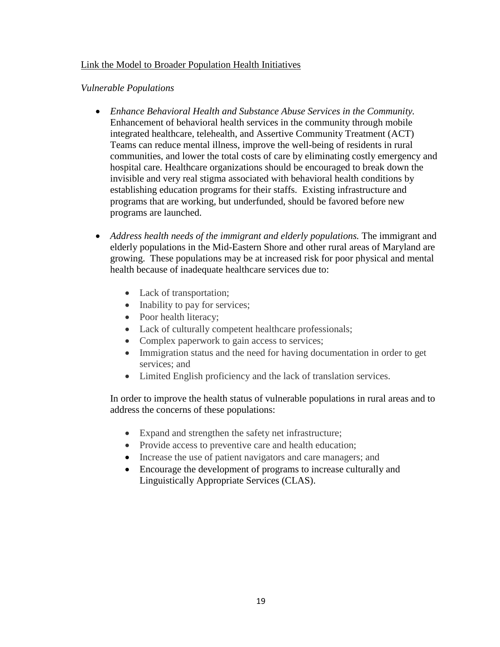#### <span id="page-18-0"></span>Link the Model to Broader Population Health Initiatives

#### *Vulnerable Populations*

- *Enhance Behavioral Health and Substance Abuse Services in the Community.*  Enhancement of behavioral health services in the community through mobile integrated healthcare, telehealth, and Assertive Community Treatment (ACT) Teams can reduce mental illness, improve the well-being of residents in rural communities, and lower the total costs of care by eliminating costly emergency and hospital care. Healthcare organizations should be encouraged to break down the invisible and very real stigma associated with behavioral health conditions by establishing education programs for their staffs. Existing infrastructure and programs that are working, but underfunded, should be favored before new programs are launched.
- Address health needs of the immigrant and elderly populations. The immigrant and elderly populations in the Mid-Eastern Shore and other rural areas of Maryland are growing. These populations may be at increased risk for poor physical and mental health because of inadequate healthcare services due to:
	- Lack of transportation;
	- Inability to pay for services;
	- Poor health literacy;
	- Lack of culturally competent healthcare professionals;
	- Complex paperwork to gain access to services;
	- Immigration status and the need for having documentation in order to get services; and
	- Limited English proficiency and the lack of translation services.

In order to improve the health status of vulnerable populations in rural areas and to address the concerns of these populations:

- Expand and strengthen the safety net infrastructure;
- Provide access to preventive care and health education;
- Increase the use of patient navigators and care managers; and
- <span id="page-18-1"></span> Encourage the development of programs to increase culturally and Linguistically Appropriate Services (CLAS).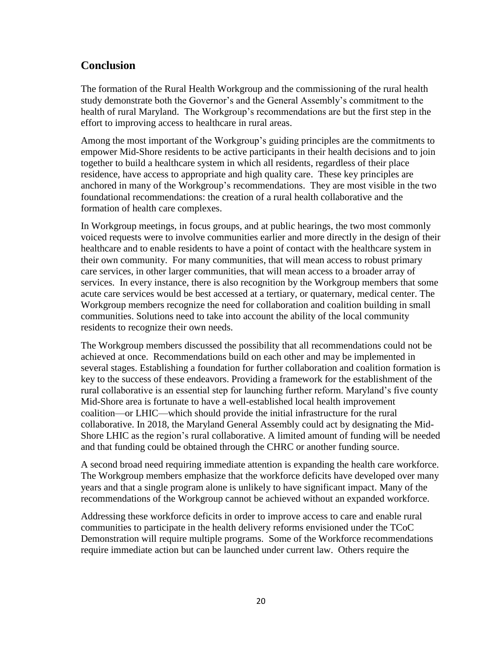## **Conclusion**

The formation of the Rural Health Workgroup and the commissioning of the rural health study demonstrate both the Governor's and the General Assembly's commitment to the health of rural Maryland. The Workgroup's recommendations are but the first step in the effort to improving access to healthcare in rural areas.

Among the most important of the Workgroup's guiding principles are the commitments to empower Mid-Shore residents to be active participants in their health decisions and to join together to build a healthcare system in which all residents, regardless of their place residence, have access to appropriate and high quality care. These key principles are anchored in many of the Workgroup's recommendations. They are most visible in the two foundational recommendations: the creation of a rural health collaborative and the formation of health care complexes.

In Workgroup meetings, in focus groups, and at public hearings, the two most commonly voiced requests were to involve communities earlier and more directly in the design of their healthcare and to enable residents to have a point of contact with the healthcare system in their own community. For many communities, that will mean access to robust primary care services, in other larger communities, that will mean access to a broader array of services. In every instance, there is also recognition by the Workgroup members that some acute care services would be best accessed at a tertiary, or quaternary, medical center. The Workgroup members recognize the need for collaboration and coalition building in small communities. Solutions need to take into account the ability of the local community residents to recognize their own needs.

The Workgroup members discussed the possibility that all recommendations could not be achieved at once. Recommendations build on each other and may be implemented in several stages. Establishing a foundation for further collaboration and coalition formation is key to the success of these endeavors. Providing a framework for the establishment of the rural collaborative is an essential step for launching further reform. Maryland's five county Mid-Shore area is fortunate to have a well-established local health improvement coalition—or LHIC—which should provide the initial infrastructure for the rural collaborative. In 2018, the Maryland General Assembly could act by designating the Mid-Shore LHIC as the region's rural collaborative. A limited amount of funding will be needed and that funding could be obtained through the CHRC or another funding source.

A second broad need requiring immediate attention is expanding the health care workforce. The Workgroup members emphasize that the workforce deficits have developed over many years and that a single program alone is unlikely to have significant impact. Many of the recommendations of the Workgroup cannot be achieved without an expanded workforce.

Addressing these workforce deficits in order to improve access to care and enable rural communities to participate in the health delivery reforms envisioned under the TCoC Demonstration will require multiple programs. Some of the Workforce recommendations require immediate action but can be launched under current law. Others require the